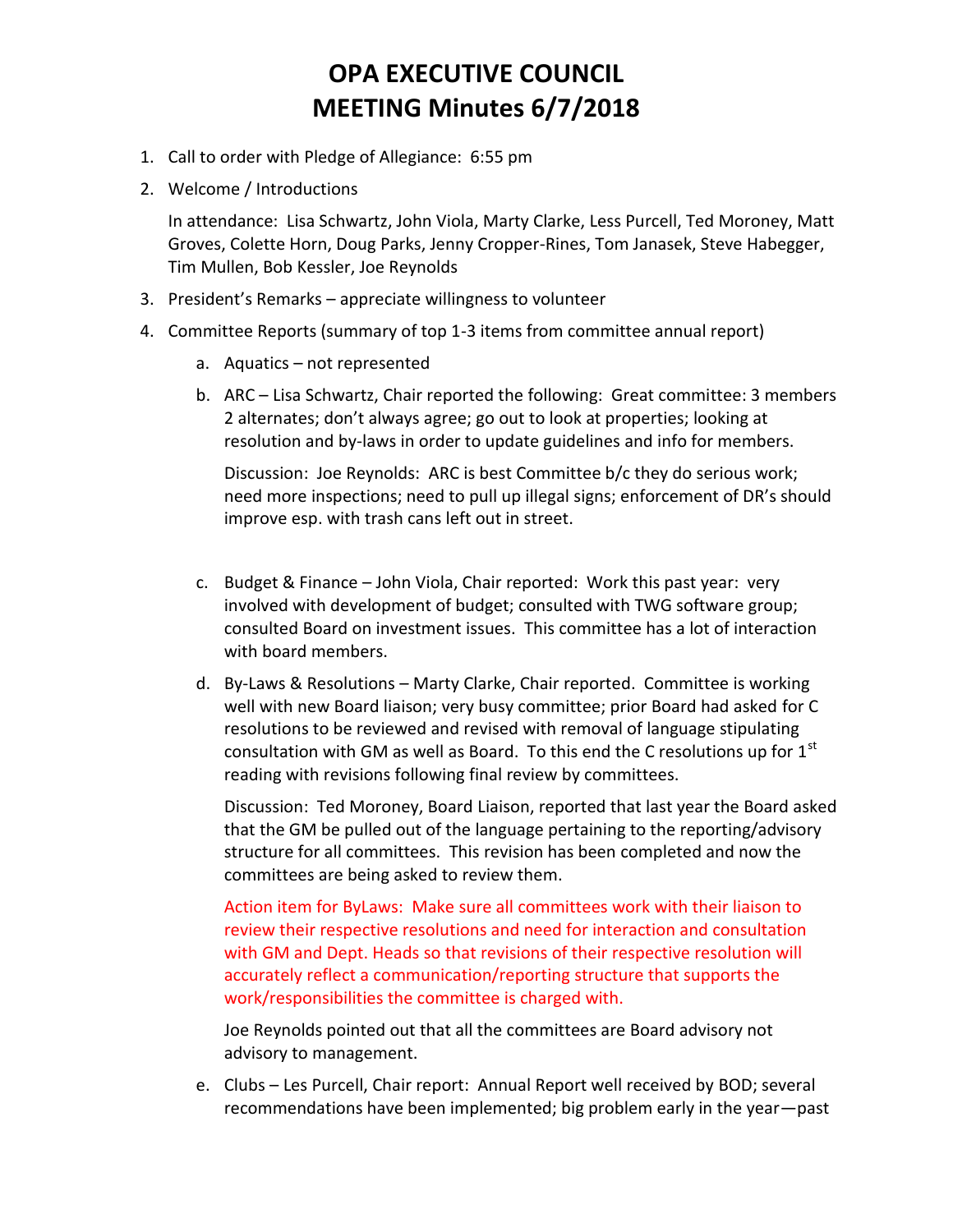- 1. Call to order with Pledge of Allegiance: 6:55 pm
- 2. Welcome / Introductions

In attendance: Lisa Schwartz, John Viola, Marty Clarke, Less Purcell, Ted Moroney, Matt Groves, Colette Horn, Doug Parks, Jenny Cropper-Rines, Tom Janasek, Steve Habegger, Tim Mullen, Bob Kessler, Joe Reynolds

- 3. President's Remarks appreciate willingness to volunteer
- 4. Committee Reports (summary of top 1-3 items from committee annual report)
	- a. Aquatics not represented
	- b. ARC Lisa Schwartz, Chair reported the following: Great committee: 3 members 2 alternates; don't always agree; go out to look at properties; looking at resolution and by-laws in order to update guidelines and info for members.

Discussion: Joe Reynolds: ARC is best Committee b/c they do serious work; need more inspections; need to pull up illegal signs; enforcement of DR's should improve esp. with trash cans left out in street.

- c. Budget & Finance John Viola, Chair reported: Work this past year: very involved with development of budget; consulted with TWG software group; consulted Board on investment issues. This committee has a lot of interaction with board members.
- d. By-Laws & Resolutions Marty Clarke, Chair reported. Committee is working well with new Board liaison; very busy committee; prior Board had asked for C resolutions to be reviewed and revised with removal of language stipulating consultation with GM as well as Board. To this end the C resolutions up for  $1<sup>st</sup>$ reading with revisions following final review by committees.

Discussion: Ted Moroney, Board Liaison, reported that last year the Board asked that the GM be pulled out of the language pertaining to the reporting/advisory structure for all committees. This revision has been completed and now the committees are being asked to review them.

Action item for ByLaws: Make sure all committees work with their liaison to review their respective resolutions and need for interaction and consultation with GM and Dept. Heads so that revisions of their respective resolution will accurately reflect a communication/reporting structure that supports the work/responsibilities the committee is charged with.

Joe Reynolds pointed out that all the committees are Board advisory not advisory to management.

e. Clubs – Les Purcell, Chair report: Annual Report well received by BOD; several recommendations have been implemented; big problem early in the year—past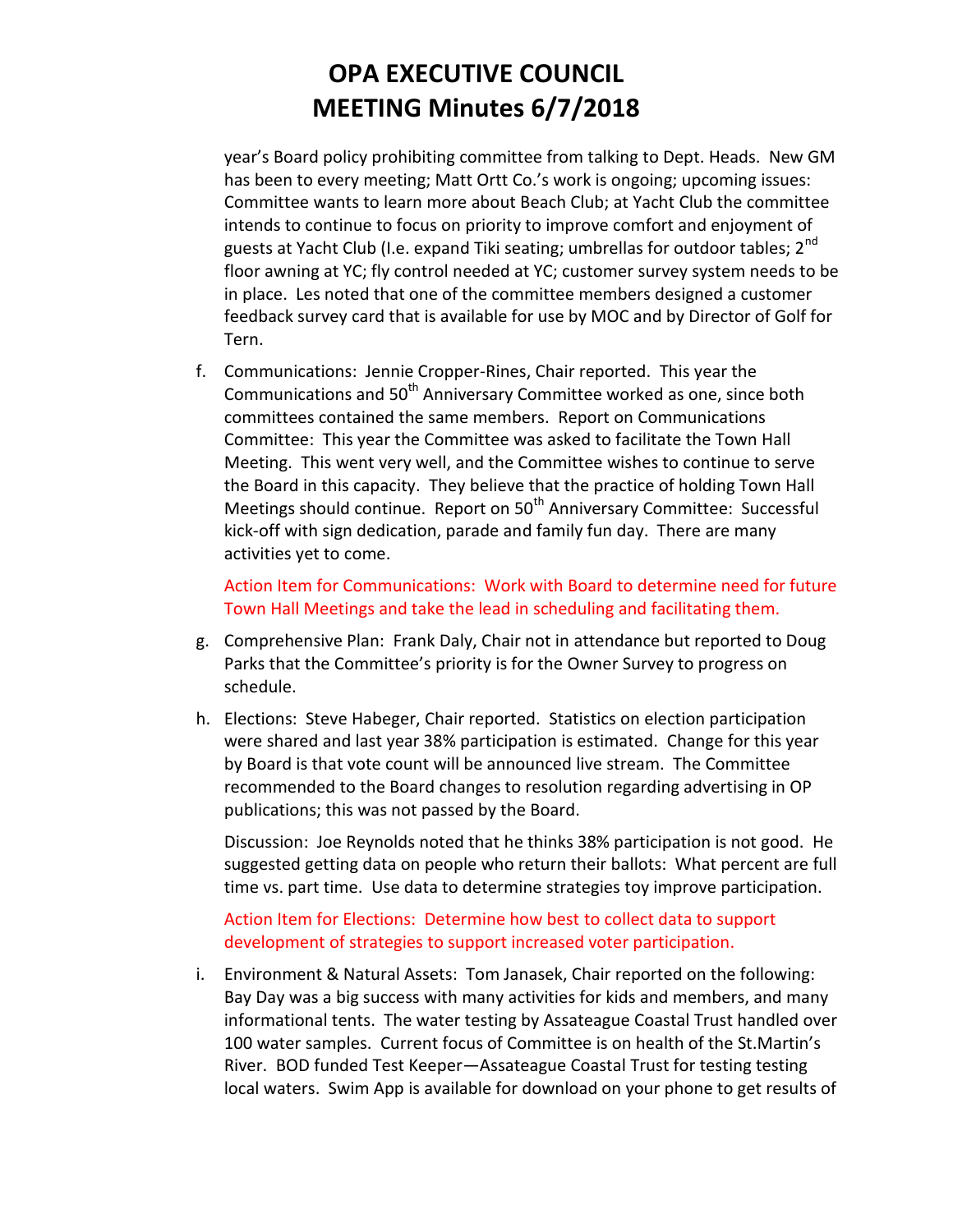year's Board policy prohibiting committee from talking to Dept. Heads. New GM has been to every meeting; Matt Ortt Co.'s work is ongoing; upcoming issues: Committee wants to learn more about Beach Club; at Yacht Club the committee intends to continue to focus on priority to improve comfort and enjoyment of guests at Yacht Club (I.e. expand Tiki seating; umbrellas for outdoor tables;  $2^{nd}$ floor awning at YC; fly control needed at YC; customer survey system needs to be in place. Les noted that one of the committee members designed a customer feedback survey card that is available for use by MOC and by Director of Golf for Tern.

f. Communications: Jennie Cropper-Rines, Chair reported. This year the Communications and 50<sup>th</sup> Anniversary Committee worked as one, since both committees contained the same members. Report on Communications Committee: This year the Committee was asked to facilitate the Town Hall Meeting. This went very well, and the Committee wishes to continue to serve the Board in this capacity. They believe that the practice of holding Town Hall Meetings should continue. Report on 50<sup>th</sup> Anniversary Committee: Successful kick-off with sign dedication, parade and family fun day. There are many activities yet to come.

Action Item for Communications: Work with Board to determine need for future Town Hall Meetings and take the lead in scheduling and facilitating them.

- g. Comprehensive Plan: Frank Daly, Chair not in attendance but reported to Doug Parks that the Committee's priority is for the Owner Survey to progress on schedule.
- h. Elections: Steve Habeger, Chair reported. Statistics on election participation were shared and last year 38% participation is estimated. Change for this year by Board is that vote count will be announced live stream. The Committee recommended to the Board changes to resolution regarding advertising in OP publications; this was not passed by the Board.

Discussion: Joe Reynolds noted that he thinks 38% participation is not good. He suggested getting data on people who return their ballots: What percent are full time vs. part time. Use data to determine strategies toy improve participation.

Action Item for Elections: Determine how best to collect data to support development of strategies to support increased voter participation.

i. Environment & Natural Assets: Tom Janasek, Chair reported on the following: Bay Day was a big success with many activities for kids and members, and many informational tents. The water testing by Assateague Coastal Trust handled over 100 water samples. Current focus of Committee is on health of the St.Martin's River. BOD funded Test Keeper—Assateague Coastal Trust for testing testing local waters. Swim App is available for download on your phone to get results of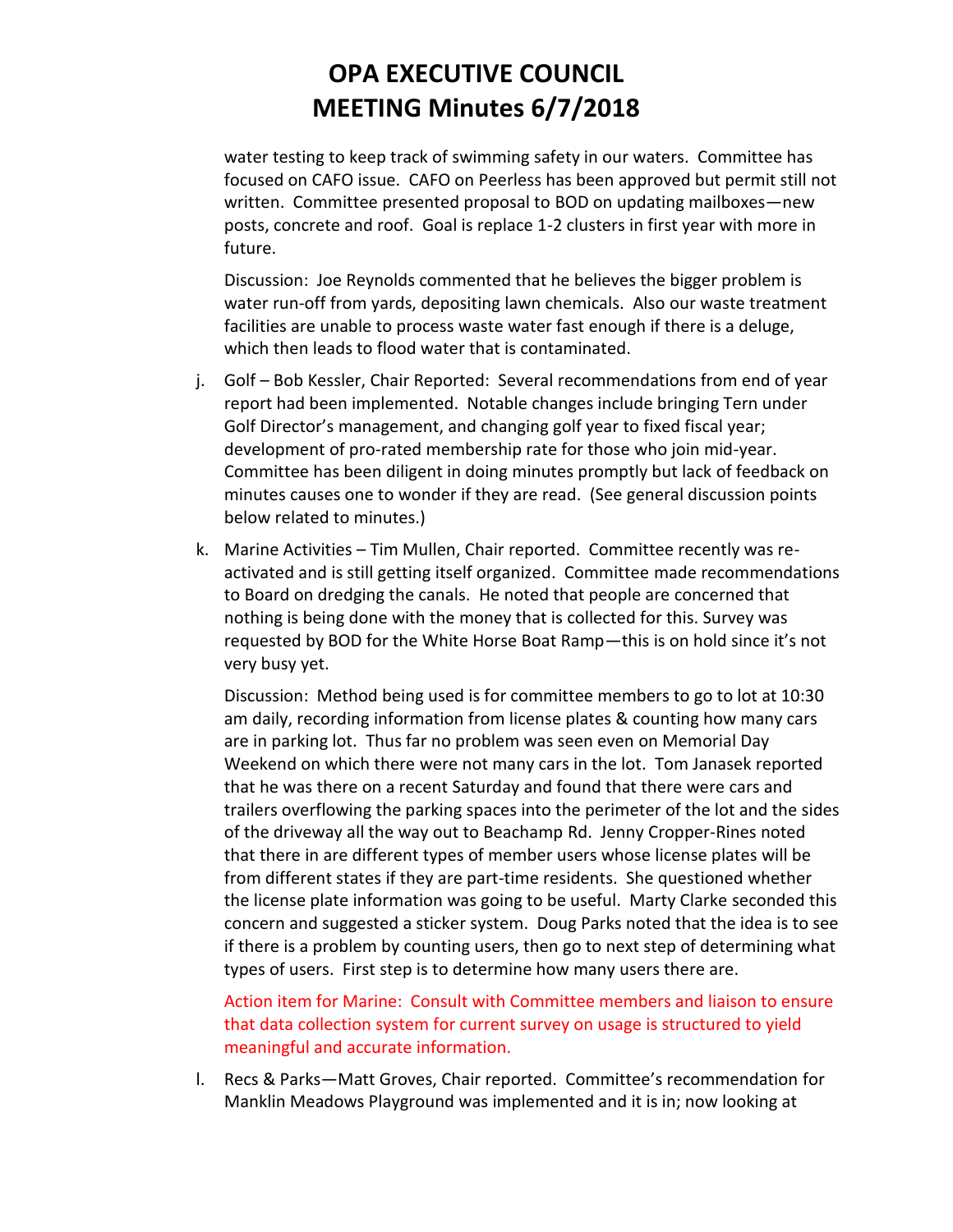water testing to keep track of swimming safety in our waters. Committee has focused on CAFO issue. CAFO on Peerless has been approved but permit still not written. Committee presented proposal to BOD on updating mailboxes—new posts, concrete and roof. Goal is replace 1-2 clusters in first year with more in future.

Discussion: Joe Reynolds commented that he believes the bigger problem is water run-off from yards, depositing lawn chemicals. Also our waste treatment facilities are unable to process waste water fast enough if there is a deluge, which then leads to flood water that is contaminated.

- j. Golf Bob Kessler, Chair Reported: Several recommendations from end of year report had been implemented. Notable changes include bringing Tern under Golf Director's management, and changing golf year to fixed fiscal year; development of pro-rated membership rate for those who join mid-year. Committee has been diligent in doing minutes promptly but lack of feedback on minutes causes one to wonder if they are read. (See general discussion points below related to minutes.)
- k. Marine Activities Tim Mullen, Chair reported. Committee recently was reactivated and is still getting itself organized. Committee made recommendations to Board on dredging the canals. He noted that people are concerned that nothing is being done with the money that is collected for this. Survey was requested by BOD for the White Horse Boat Ramp—this is on hold since it's not very busy yet.

Discussion: Method being used is for committee members to go to lot at 10:30 am daily, recording information from license plates & counting how many cars are in parking lot. Thus far no problem was seen even on Memorial Day Weekend on which there were not many cars in the lot. Tom Janasek reported that he was there on a recent Saturday and found that there were cars and trailers overflowing the parking spaces into the perimeter of the lot and the sides of the driveway all the way out to Beachamp Rd. Jenny Cropper-Rines noted that there in are different types of member users whose license plates will be from different states if they are part-time residents. She questioned whether the license plate information was going to be useful. Marty Clarke seconded this concern and suggested a sticker system. Doug Parks noted that the idea is to see if there is a problem by counting users, then go to next step of determining what types of users. First step is to determine how many users there are.

Action item for Marine: Consult with Committee members and liaison to ensure that data collection system for current survey on usage is structured to yield meaningful and accurate information.

l. Recs & Parks—Matt Groves, Chair reported. Committee's recommendation for Manklin Meadows Playground was implemented and it is in; now looking at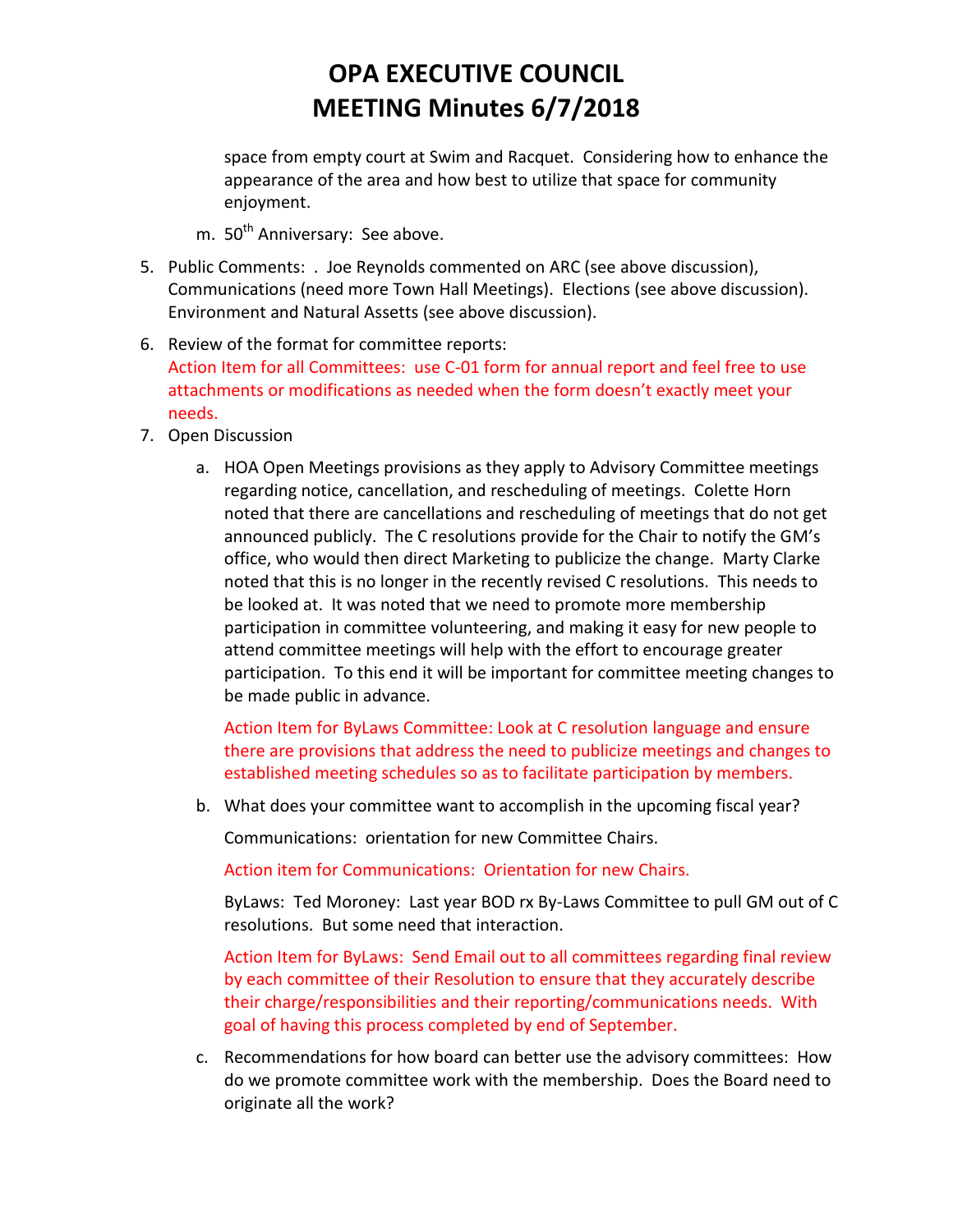space from empty court at Swim and Racquet. Considering how to enhance the appearance of the area and how best to utilize that space for community enjoyment.

- m. 50<sup>th</sup> Anniversary: See above.
- 5. Public Comments: . Joe Reynolds commented on ARC (see above discussion), Communications (need more Town Hall Meetings). Elections (see above discussion). Environment and Natural Assetts (see above discussion).
- 6. Review of the format for committee reports: Action Item for all Committees: use C-01 form for annual report and feel free to use attachments or modifications as needed when the form doesn't exactly meet your needs.
- 7. Open Discussion
	- a. HOA Open Meetings provisions as they apply to Advisory Committee meetings regarding notice, cancellation, and rescheduling of meetings. Colette Horn noted that there are cancellations and rescheduling of meetings that do not get announced publicly. The C resolutions provide for the Chair to notify the GM's office, who would then direct Marketing to publicize the change. Marty Clarke noted that this is no longer in the recently revised C resolutions. This needs to be looked at. It was noted that we need to promote more membership participation in committee volunteering, and making it easy for new people to attend committee meetings will help with the effort to encourage greater participation. To this end it will be important for committee meeting changes to be made public in advance.

Action Item for ByLaws Committee: Look at C resolution language and ensure there are provisions that address the need to publicize meetings and changes to established meeting schedules so as to facilitate participation by members.

b. What does your committee want to accomplish in the upcoming fiscal year?

Communications: orientation for new Committee Chairs.

Action item for Communications: Orientation for new Chairs.

ByLaws: Ted Moroney: Last year BOD rx By-Laws Committee to pull GM out of C resolutions. But some need that interaction.

Action Item for ByLaws: Send Email out to all committees regarding final review by each committee of their Resolution to ensure that they accurately describe their charge/responsibilities and their reporting/communications needs. With goal of having this process completed by end of September.

c. Recommendations for how board can better use the advisory committees: How do we promote committee work with the membership. Does the Board need to originate all the work?